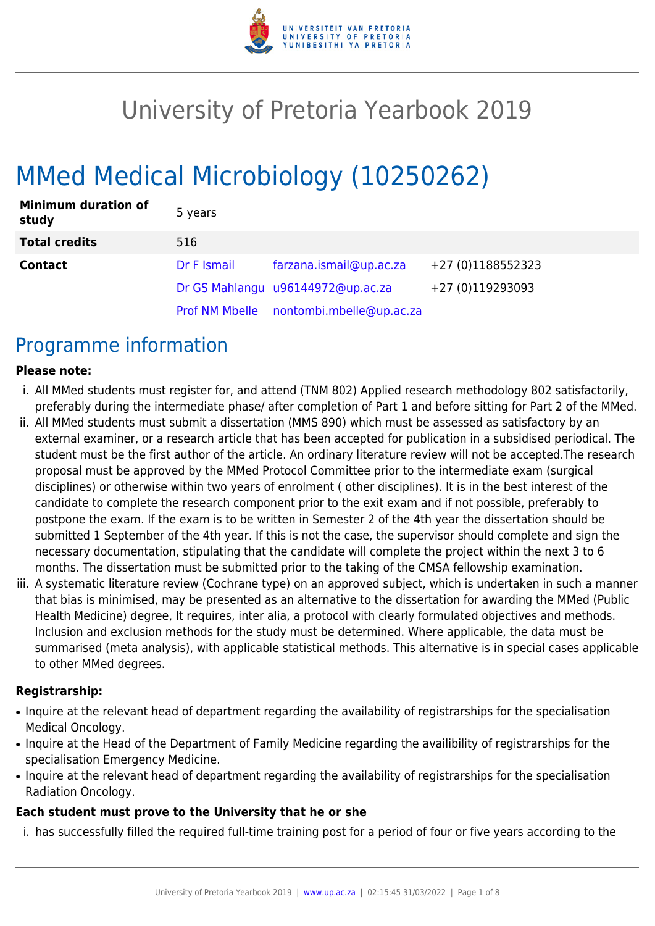

# University of Pretoria Yearbook 2019

# MMed Medical Microbiology (10250262)

| <b>Minimum duration of</b><br>study | 5 years     |                                         |                   |
|-------------------------------------|-------------|-----------------------------------------|-------------------|
| <b>Total credits</b>                | 516         |                                         |                   |
| <b>Contact</b>                      | Dr F Ismail | farzana.ismail@up.ac.za                 | +27 (0)1188552323 |
|                                     |             | Dr GS Mahlangu u96144972@up.ac.za       | +27 (0)119293093  |
|                                     |             | Prof NM Mbelle nontombi.mbelle@up.ac.za |                   |

## Programme information

#### **Please note:**

- i. All MMed students must register for, and attend (TNM 802) Applied research methodology 802 satisfactorily, preferably during the intermediate phase/ after completion of Part 1 and before sitting for Part 2 of the MMed.
- ii. All MMed students must submit a dissertation (MMS 890) which must be assessed as satisfactory by an external examiner, or a research article that has been accepted for publication in a subsidised periodical. The student must be the first author of the article. An ordinary literature review will not be accepted.The research proposal must be approved by the MMed Protocol Committee prior to the intermediate exam (surgical disciplines) or otherwise within two years of enrolment ( other disciplines). It is in the best interest of the candidate to complete the research component prior to the exit exam and if not possible, preferably to postpone the exam. If the exam is to be written in Semester 2 of the 4th year the dissertation should be submitted 1 September of the 4th year. If this is not the case, the supervisor should complete and sign the necessary documentation, stipulating that the candidate will complete the project within the next 3 to 6 months. The dissertation must be submitted prior to the taking of the CMSA fellowship examination.
- iii. A systematic literature review (Cochrane type) on an approved subject, which is undertaken in such a manner that bias is minimised, may be presented as an alternative to the dissertation for awarding the MMed (Public Health Medicine) degree, It requires, inter alia, a protocol with clearly formulated objectives and methods. Inclusion and exclusion methods for the study must be determined. Where applicable, the data must be summarised (meta analysis), with applicable statistical methods. This alternative is in special cases applicable to other MMed degrees.

#### **Registrarship:**

- Inquire at the relevant head of department regarding the availability of registrarships for the specialisation Medical Oncology.
- Inquire at the Head of the Department of Family Medicine regarding the availibility of registrarships for the specialisation Emergency Medicine.
- Inquire at the relevant head of department regarding the availability of registrarships for the specialisation Radiation Oncology.

#### **Each student must prove to the University that he or she**

i. has successfully filled the required full-time training post for a period of four or five years according to the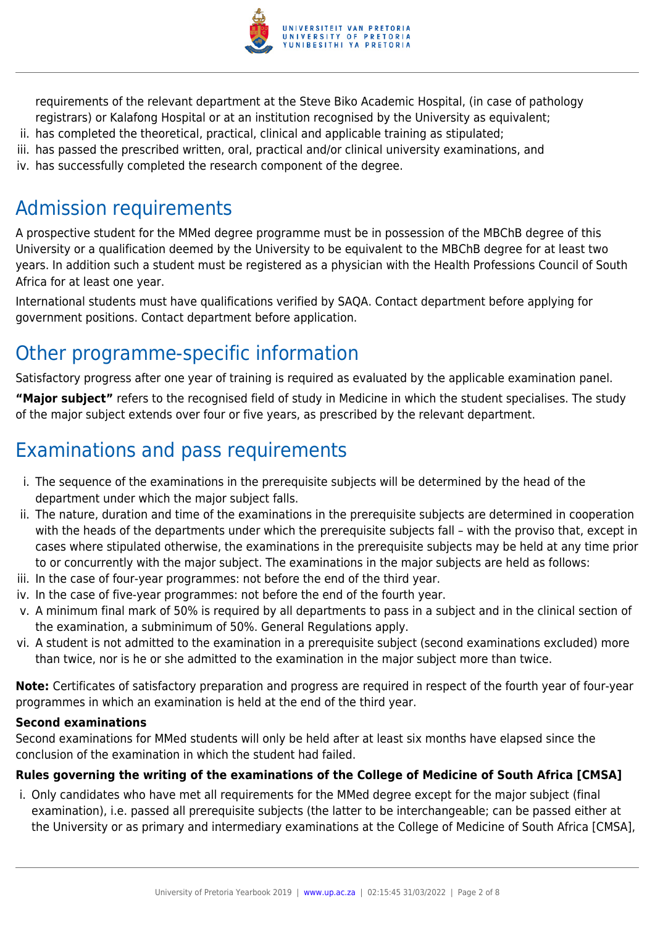

requirements of the relevant department at the Steve Biko Academic Hospital, (in case of pathology registrars) or Kalafong Hospital or at an institution recognised by the University as equivalent;

- ii. has completed the theoretical, practical, clinical and applicable training as stipulated;
- iii. has passed the prescribed written, oral, practical and/or clinical university examinations, and
- iv. has successfully completed the research component of the degree.

# Admission requirements

A prospective student for the MMed degree programme must be in possession of the MBChB degree of this University or a qualification deemed by the University to be equivalent to the MBChB degree for at least two years. In addition such a student must be registered as a physician with the Health Professions Council of South Africa for at least one year.

International students must have qualifications verified by SAQA. Contact department before applying for government positions. Contact department before application.

# Other programme-specific information

Satisfactory progress after one year of training is required as evaluated by the applicable examination panel.

**"Major subject"** refers to the recognised field of study in Medicine in which the student specialises. The study of the major subject extends over four or five years, as prescribed by the relevant department.

# Examinations and pass requirements

- i. The sequence of the examinations in the prerequisite subjects will be determined by the head of the department under which the major subject falls.
- ii. The nature, duration and time of the examinations in the prerequisite subjects are determined in cooperation with the heads of the departments under which the prerequisite subjects fall – with the proviso that, except in cases where stipulated otherwise, the examinations in the prerequisite subjects may be held at any time prior to or concurrently with the major subject. The examinations in the major subjects are held as follows:
- iii. In the case of four-year programmes: not before the end of the third year.
- iv. In the case of five-year programmes: not before the end of the fourth year.
- v. A minimum final mark of 50% is required by all departments to pass in a subject and in the clinical section of the examination, a subminimum of 50%. General Regulations apply.
- vi. A student is not admitted to the examination in a prerequisite subject (second examinations excluded) more than twice, nor is he or she admitted to the examination in the major subject more than twice.

**Note:** Certificates of satisfactory preparation and progress are required in respect of the fourth year of four-year programmes in which an examination is held at the end of the third year.

### **Second examinations**

Second examinations for MMed students will only be held after at least six months have elapsed since the conclusion of the examination in which the student had failed.

### **Rules governing the writing of the examinations of the College of Medicine of South Africa [CMSA]**

i. Only candidates who have met all requirements for the MMed degree except for the major subject (final examination), i.e. passed all prerequisite subjects (the latter to be interchangeable; can be passed either at the University or as primary and intermediary examinations at the College of Medicine of South Africa [CMSA],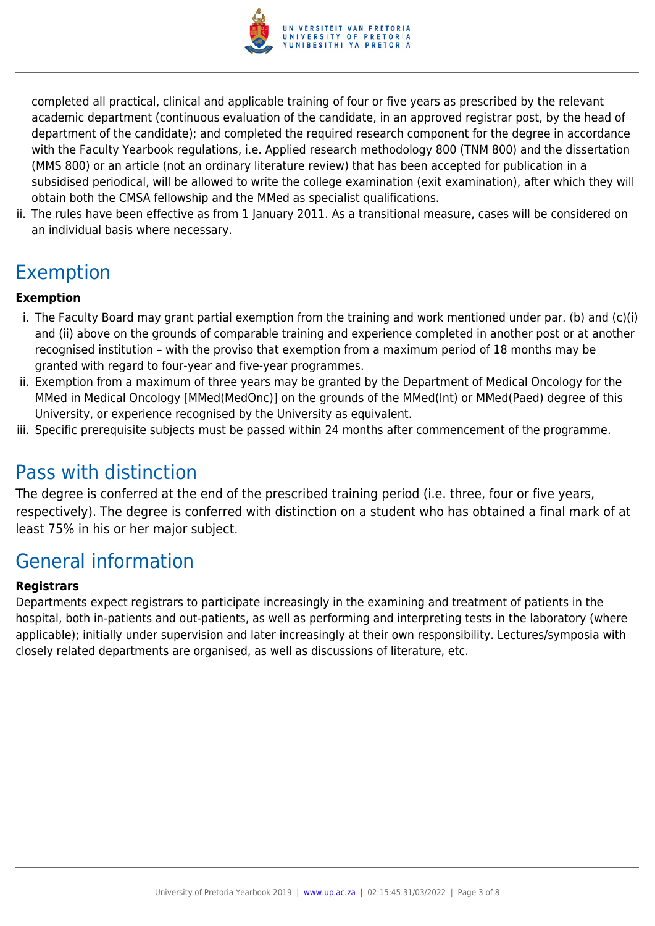

completed all practical, clinical and applicable training of four or five years as prescribed by the relevant academic department (continuous evaluation of the candidate, in an approved registrar post, by the head of department of the candidate); and completed the required research component for the degree in accordance with the Faculty Yearbook regulations, i.e. Applied research methodology 800 (TNM 800) and the dissertation (MMS 800) or an article (not an ordinary literature review) that has been accepted for publication in a subsidised periodical, will be allowed to write the college examination (exit examination), after which they will obtain both the CMSA fellowship and the MMed as specialist qualifications.

ii. The rules have been effective as from 1 January 2011. As a transitional measure, cases will be considered on an individual basis where necessary.

# Exemption

### **Exemption**

- i. The Faculty Board may grant partial exemption from the training and work mentioned under par. (b) and (c)(i) and (ii) above on the grounds of comparable training and experience completed in another post or at another recognised institution – with the proviso that exemption from a maximum period of 18 months may be granted with regard to four-year and five-year programmes.
- ii. Exemption from a maximum of three years may be granted by the Department of Medical Oncology for the MMed in Medical Oncology [MMed(MedOnc)] on the grounds of the MMed(Int) or MMed(Paed) degree of this University, or experience recognised by the University as equivalent.
- iii. Specific prerequisite subjects must be passed within 24 months after commencement of the programme.

# Pass with distinction

The degree is conferred at the end of the prescribed training period (i.e. three, four or five years, respectively). The degree is conferred with distinction on a student who has obtained a final mark of at least 75% in his or her major subject.

### General information

#### **Registrars**

Departments expect registrars to participate increasingly in the examining and treatment of patients in the hospital, both in-patients and out-patients, as well as performing and interpreting tests in the laboratory (where applicable); initially under supervision and later increasingly at their own responsibility. Lectures/symposia with closely related departments are organised, as well as discussions of literature, etc.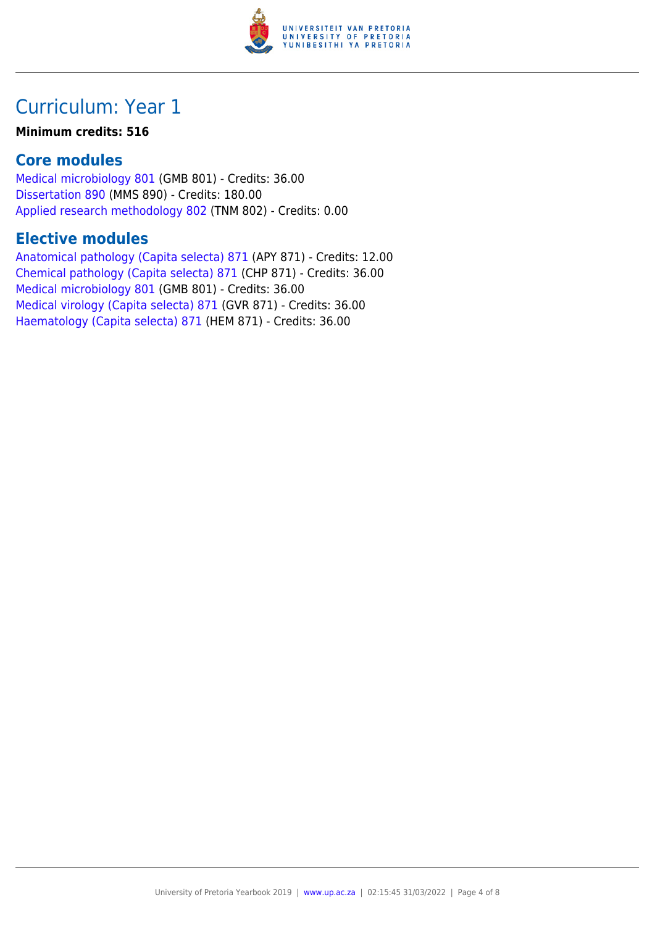

#### **Minimum credits: 516**

### **Core modules**

[Medical microbiology 801](https://www.up.ac.za/yearbooks/2019/modules/view/GMB 801) (GMB 801) - Credits: 36.00 [Dissertation 890](https://www.up.ac.za/yearbooks/2019/modules/view/MMS 890) (MMS 890) - Credits: 180.00 [Applied research methodology 802](https://www.up.ac.za/yearbooks/2019/modules/view/TNM 802) (TNM 802) - Credits: 0.00

### **Elective modules**

[Anatomical pathology \(Capita selecta\) 871](https://www.up.ac.za/yearbooks/2019/modules/view/APY 871) (APY 871) - Credits: 12.00 [Chemical pathology \(Capita selecta\) 871](https://www.up.ac.za/yearbooks/2019/modules/view/CHP 871) (CHP 871) - Credits: 36.00 [Medical microbiology 801](https://www.up.ac.za/yearbooks/2019/modules/view/GMB 801) (GMB 801) - Credits: 36.00 [Medical virology \(Capita selecta\) 871](https://www.up.ac.za/yearbooks/2019/modules/view/GVR 871) (GVR 871) - Credits: 36.00 [Haematology \(Capita selecta\) 871](https://www.up.ac.za/yearbooks/2019/modules/view/HEM 871) (HEM 871) - Credits: 36.00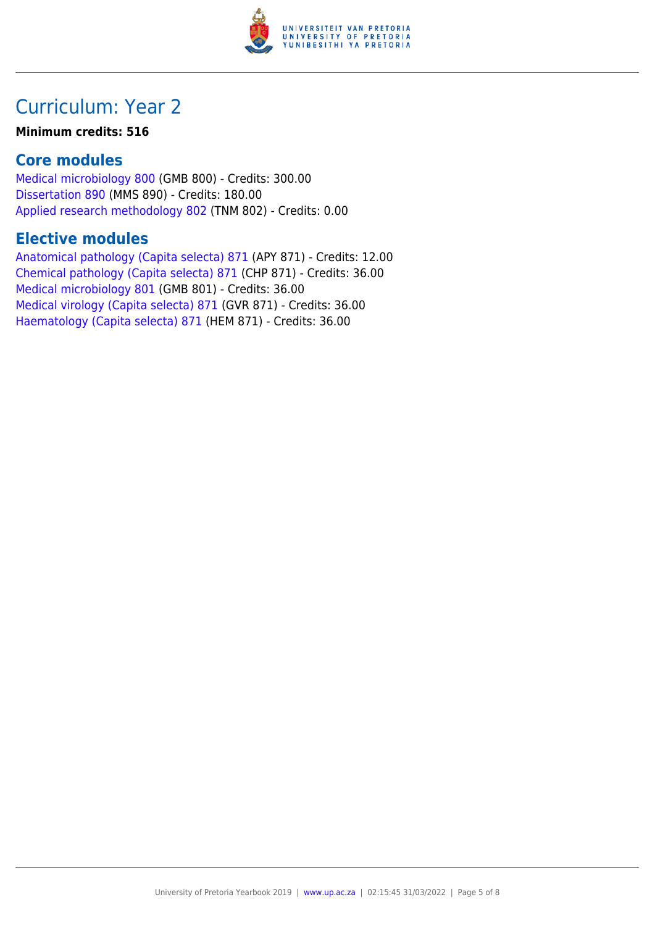

#### **Minimum credits: 516**

### **Core modules**

[Medical microbiology 800](https://www.up.ac.za/yearbooks/2019/modules/view/GMB 800) (GMB 800) - Credits: 300.00 [Dissertation 890](https://www.up.ac.za/yearbooks/2019/modules/view/MMS 890) (MMS 890) - Credits: 180.00 [Applied research methodology 802](https://www.up.ac.za/yearbooks/2019/modules/view/TNM 802) (TNM 802) - Credits: 0.00

### **Elective modules**

[Anatomical pathology \(Capita selecta\) 871](https://www.up.ac.za/yearbooks/2019/modules/view/APY 871) (APY 871) - Credits: 12.00 [Chemical pathology \(Capita selecta\) 871](https://www.up.ac.za/yearbooks/2019/modules/view/CHP 871) (CHP 871) - Credits: 36.00 [Medical microbiology 801](https://www.up.ac.za/yearbooks/2019/modules/view/GMB 801) (GMB 801) - Credits: 36.00 [Medical virology \(Capita selecta\) 871](https://www.up.ac.za/yearbooks/2019/modules/view/GVR 871) (GVR 871) - Credits: 36.00 [Haematology \(Capita selecta\) 871](https://www.up.ac.za/yearbooks/2019/modules/view/HEM 871) (HEM 871) - Credits: 36.00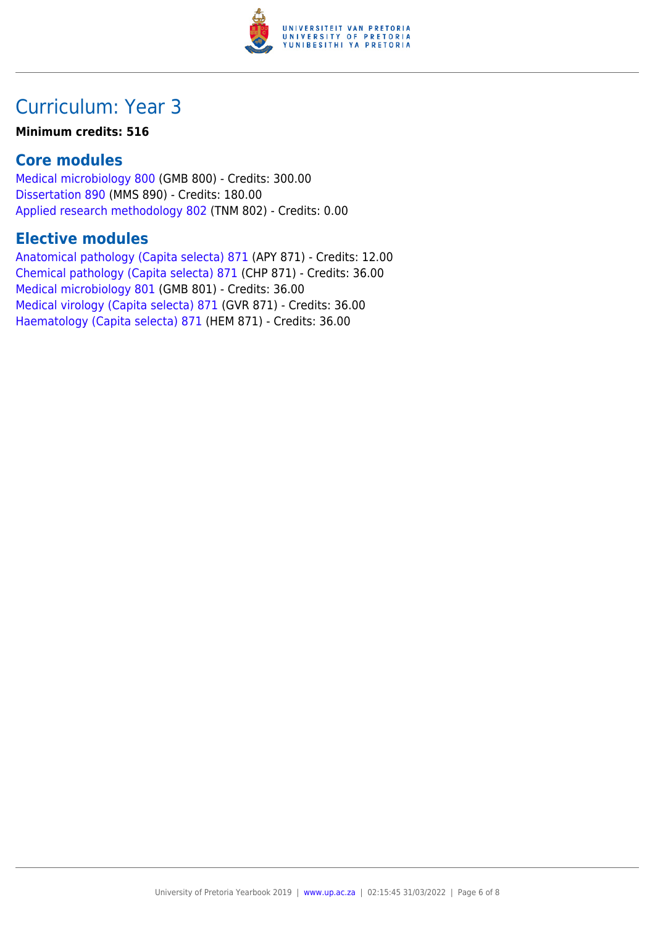

#### **Minimum credits: 516**

### **Core modules**

[Medical microbiology 800](https://www.up.ac.za/yearbooks/2019/modules/view/GMB 800) (GMB 800) - Credits: 300.00 [Dissertation 890](https://www.up.ac.za/yearbooks/2019/modules/view/MMS 890) (MMS 890) - Credits: 180.00 [Applied research methodology 802](https://www.up.ac.za/yearbooks/2019/modules/view/TNM 802) (TNM 802) - Credits: 0.00

### **Elective modules**

[Anatomical pathology \(Capita selecta\) 871](https://www.up.ac.za/yearbooks/2019/modules/view/APY 871) (APY 871) - Credits: 12.00 [Chemical pathology \(Capita selecta\) 871](https://www.up.ac.za/yearbooks/2019/modules/view/CHP 871) (CHP 871) - Credits: 36.00 [Medical microbiology 801](https://www.up.ac.za/yearbooks/2019/modules/view/GMB 801) (GMB 801) - Credits: 36.00 [Medical virology \(Capita selecta\) 871](https://www.up.ac.za/yearbooks/2019/modules/view/GVR 871) (GVR 871) - Credits: 36.00 [Haematology \(Capita selecta\) 871](https://www.up.ac.za/yearbooks/2019/modules/view/HEM 871) (HEM 871) - Credits: 36.00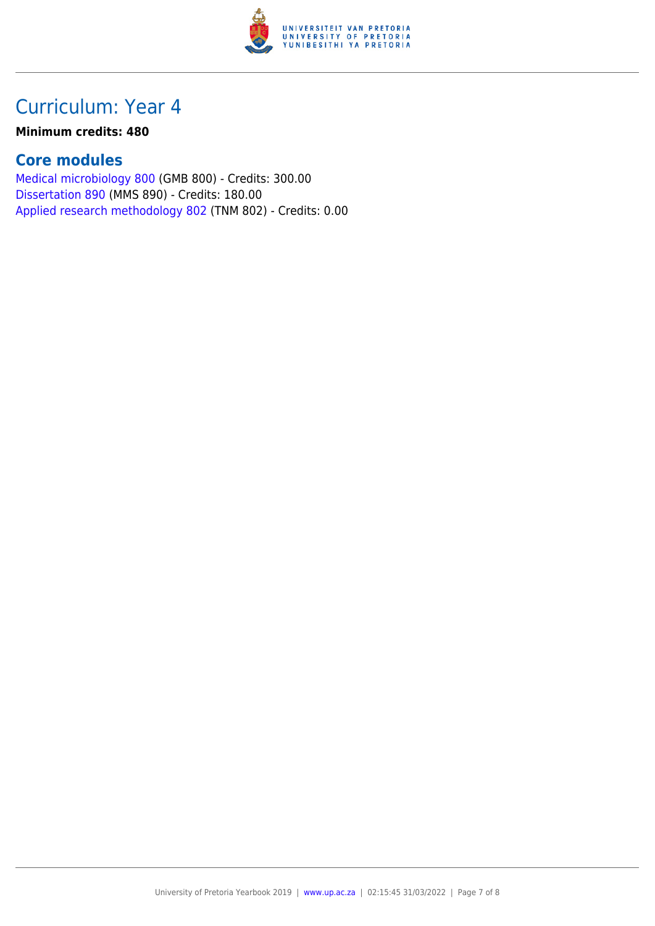

#### **Minimum credits: 480**

### **Core modules**

[Medical microbiology 800](https://www.up.ac.za/yearbooks/2019/modules/view/GMB 800) (GMB 800) - Credits: 300.00 [Dissertation 890](https://www.up.ac.za/yearbooks/2019/modules/view/MMS 890) (MMS 890) - Credits: 180.00 [Applied research methodology 802](https://www.up.ac.za/yearbooks/2019/modules/view/TNM 802) (TNM 802) - Credits: 0.00